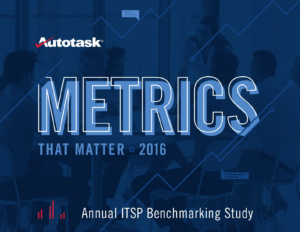

# EIRICS **THAT MATTER · 2016**

a II al I Annual ITSP Benchmarking Study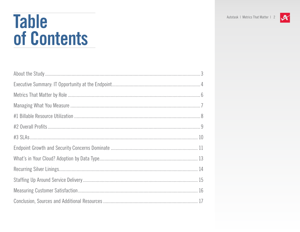### **Table** of Contents

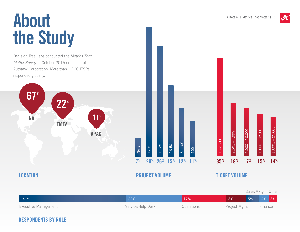# <span id="page-2-0"></span>About the Study

Decision Tree Labs conducted the *Metrics That Matter Survey* in October 2015 on behalf of Autotask Corporation. More than 1,100 ITSPs responded globally.



51-100

7% 29% 26% 15% 12% 11%

100+



#### Executive Management and Service/Help Desk Operations Sales/Mktg Other Project Mgmt Finance 41% 22% 17% 8% 5% 4% 3%

#### RESPONDENTS BY ROLE

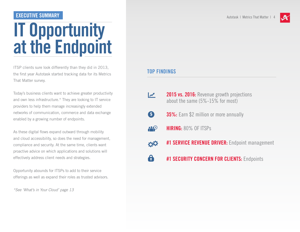#### <span id="page-3-0"></span>EXECUTIVE SUMMARY And The Control of the Control of the Control of the Control of the Control of the Control of the Control of the Control of the Control of the Control of the Control of the Control of the Control of the C

### IT Opportunity at the Endpoint

ITSP clients sure look differently than they did in 2013, the first year Autotask started tracking data for its Metrics That Matter survey.

Today's business clients want to achieve greater productivity and own less infrastructure.\* They are looking to IT service providers to help them manage increasingly extended networks of communication, commerce and data exchange enabled by a growing number of endpoints.

As these digital flows expand outward through mobility and cloud accessibility, so does the need for management, compliance and security. At the same time, clients want proactive advice on which applications and solutions will effectively address client needs and strategies.

Opportunity abounds for ITSPs to add to their service offerings as well as expand their roles as trusted advisors.

*\*See 'What's in Your Cloud' page 13*



#### TOP FINDINGS

- 2015 vs. 2016: Revenue growth projections  $\boldsymbol{\mathcal{X}}$ about the same (5%-15% for most)
- **\$ 35%:** Earn \$2 million or more annually
- $\mathbf{H}^{\pm}$ HIRING: 80% OF ITSPs
- **#1 SERVICE REVENUE DRIVER:** Endpoint management 00
- 8 **#1 SECURITY CONCERN FOR CLIENTS: Endpoints**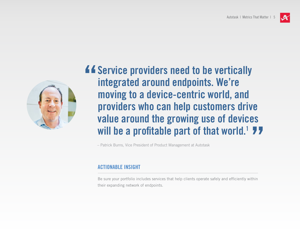

**44 Service providers need to be vertically<br>integrated around endpoints. We're<br>moving to a device-centric world, and** integrated around endpoints. We're moving to a device-centric world, and providers who can help customers drive value around the growing use of devices will be a profitable part of that world.<sup>1</sup> 77

– Patrick Burns, Vice President of Product Management at Autotask

#### ACTIONABLE INSIGHT

Be sure your portfolio includes services that help clients operate safely and efficiently within their expanding network of endpoints.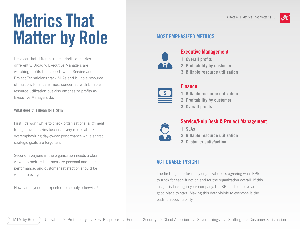## <span id="page-5-0"></span>Metrics That Matter by Role

It's clear that different roles prioritize metrics differently. Broadly, Executive Managers are watching profits the closest, while Service and Project Technicians track SLAs and billable resource utilization. Finance is most concerned with billable resource utilization but also emphasize profits as Executive Managers do.

#### **What does this mean for ITSPs?**

First, it's worthwhile to check organizational alignment to high-level metrics because every role is at risk of overemphasizing day-to-day performance while shared strategic goals are forgotten.

Second, everyone in the organization needs a clear view into metrics that measure personal and team performance, and customer satisfaction should be visible to everyone.

How can anyone be expected to comply otherwise?

#### MOST EMPHASIZED METRICS



#### Executive Management

- **1. Overall profits**
- **2. Profitability by customer**
- **3. Billable resource utilization**

#### Finance

- **1. Billable resource utilization**
- **2. Profitability by customer**
- **3. Overall profits**



#### Service/Help Desk & Project Management

- **1. SLAs**
- **2. Billable resource utilization**
- **3. Customer satisfaction**

#### ACTIONABLE INSIGHT

The first big step for many organizations is agreeing what KPIs to track for each function and for the organization overall. If this insight is lacking in your company, the KPIs listed above are a good place to start. Making this data visible to everyone is the path to accountability.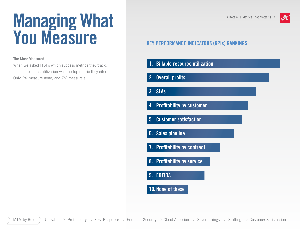### <span id="page-6-0"></span>Managing What You Measure

#### **The Most Measured**

When we asked ITSPs which success metrics they track, billable resource utilization was the top metric they cited. Only 6% measure none, and 7% measure all.

#### KEY PERFORMANCE INDICATORS (KPIs) RANKINGS

- 1. Billable resource utilization
- 2. Overall profits
- 3. SLAs
- 4. Profitability by customer
- 5. Customer satisfaction
- 6. Sales pipeline
- 7. Profitability by contract
- 8. Profitability by service
- 9. EBITDA
- 10. None of these

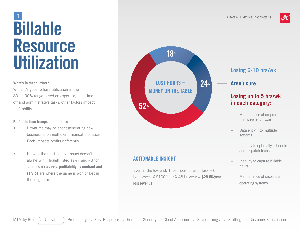

# <span id="page-7-0"></span>Billable Resource **Utilization**

#### **What's in that number?**

While it's good to have utilization in the 80- to-90% range based on expertise, paid time off and administrative tasks, other factors impact profitability.

#### **Profitable time trumps billable time**

- Downtime may be spent generating new business or on inefficient, manual processes. Each impacts profits differently.
- He with the most billable hours doesn't always win. Though listed as #7 and #8 for success measures, **profitability by contract and service** are where the game is won or lost in the long term.



#### ACTIONABLE INSIGHT

Even at the low end, 1 lost hour for each task  $= 6$ hours/week X \$100/hour X 48 hrs/year = **\$28.8K/year lost revenue.**

- **Losing 6-10 hrs/wk**
- **Aren't sure**

#### **Losing up to 5 hrs/wk in each category:**

- + Maintenance of on-prem hardware or software
- + Data entry into multiple systems
- + Inability to optimally schedule and dispatch techs
- + Inability to capture billable hours
- + Maintenance of disparate operating systems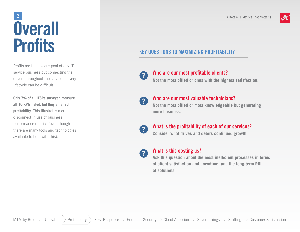### <span id="page-8-0"></span>**Overall Profits** 2 Autotask | Metrics That Matter | 9

Profits are the obvious goal of any IT service business but connecting the drivers throughout the service delivery lifecycle can be difficult.

**Only 7% of all ITSPs surveyed measure all 10 KPIs listed, but they all affect profitability.** This illustrates a critical disconnect in use of business performance metrics (even though there are many tools and technologies available to help with this).



#### KEY QUESTIONS TO MAXIMIZING PROFITABILITY

#### $\left| \mathbf{2} \right|$

#### Who are our most profitable clients?

**Not the most billed or ones with the highest satisfaction.**

#### $\mathbf{2}$

#### Who are our most valuable technicians?

**Not the most billed or most knowledgeable but generating more business.**



#### What is the profitability of each of our services?

**Consider what drives and deters continued growth.**



#### What is this costing us?

**Ask this question about the most inefficient processes in terms of client satisfaction and downtime, and the long-term ROI of solutions.**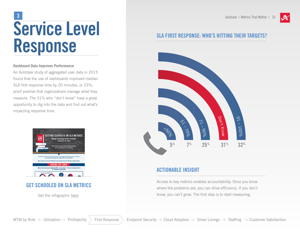

### <span id="page-9-0"></span>Service Level Response  $\overline{\mathbf{3}}$  Autotask | Metrics That Matter | 10

#### **Dashboard Data Improves Performance**

An Autotask study of aggregated user data in 2015 found that the use of dashboards improved median SLA first response time by 20 minutes, or 23%; proof positive that organizations manage what they measure. The 31% who "don't know" have a great opportunity to dig into the data and find out what's impacting response time.



#### GET SCHOOLED ON SLA METRICS

Get the infographic [here](http://www.autotask.com/resources/details/infographic-checklist/getting-schooled-on-sla-metrics?utm_source=mtm16&utm_medium=ebooklink&utm_content=infographic&utm_campaign=slametrics).

#### SLA FIRST RESPONSE: WHO'S HITTING THEIR TARGETS?



#### ACTIONABLE INSIGHT

Access to key metrics enables accountability. Once you know where the problems are, you can drive efficiency. If you don't know, you can't grow. The first step is to start measuring.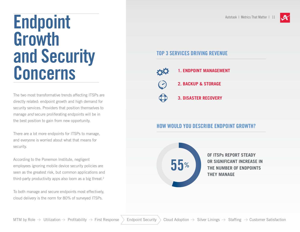

### <span id="page-10-0"></span>Endpoint Growth and Security Concerns

The two most transformative trends affecting ITSPs are directly related: endpoint growth and high demand for security services. Providers that position themselves to manage *and* secure proliferating endpoints will be in the best position to gain from new opportunity.

There are a lot more endpoints for ITSPs to manage, and everyone is worried about what that means for security.

According to the Ponemon Institute, negligent employees ignoring mobile device security policies are seen as the greatest risk, but common applications and third-party productivity apps also loom as a big threat.<sup>2</sup>

To both manage and secure endpoints most effectively, cloud delivery is the norm for 80% of surveyed ITSPs.

#### TOP 3 SERVICES DRIVING REVENUE



- **1. ENDPOINT MANAGEMENT**
- **2. BACKUP & STORAGE**
	- **3. DISASTER RECOVERY**

#### HOW WOULD YOU DESCRIBE ENDPOINT GROWTH?



**OF ITSPs REPORT STEADY OR SIGNIFICANT INCREASE IN THE NUMBER OF ENDPOINTS THEY MANAGE**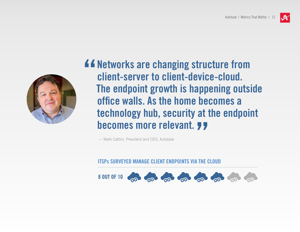

**44 Networks are changing structure from<br>
Client-server to client-device-cloud.**<br>
The endpoint growth is happening outsi client-server to client-device-cloud. The endpoint growth is happening outside office walls. As the home becomes a technology hub, security at the endpoint **becomes more relevant. 77**<br>  $\frac{1}{2}$   $\frac{1}{2}$ 

— Mark Cattini, President and CEO, Autotask

ITSPs SURVEYED MANAGE CLIENT ENDPOINTS VIA THE CLOUD

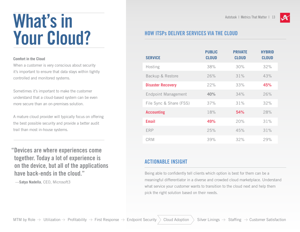### <span id="page-12-0"></span>What's in Your Cloud?

#### **Comfort in the Cloud**

When a customer is very conscious about security it's important to ensure that data stays within tightly controlled and monitored systems.

Sometimes it's important to make the customer understand that a cloud-based system can be even more secure than an on-premises solution.

A mature cloud provider will typically focus on offering the best possible security and provide a better audit trail than most in-house systems.

"Devices are where experiences come together. Today a lot of experience is on the device, but all of the applications have back-ends in the cloud."

—**Satya Nadella**, CEO, Microsoft3

#### HOW ITSPs DELIVER SERVICES VIA THE CLOUD

| <b>SERVICE</b>             | <b>PUBLIC</b><br><b>CLOUD</b> | <b>PRIVATE</b><br><b>CLOUD</b> | <b>HYBRID</b><br><b>CLOUD</b> |
|----------------------------|-------------------------------|--------------------------------|-------------------------------|
| Hosting                    | 38%                           | 30%                            | 32%                           |
| Backup & Restore           | 26%                           | 31%                            | 43%                           |
| <b>Disaster Recovery</b>   | 22%                           | 33%                            | 45%                           |
| <b>Endpoint Management</b> | 40%                           | 34%                            | 26%                           |
| File Sync & Share (FSS)    | 37%                           | 31%                            | 32%                           |
| <b>Accounting</b>          | 18%                           | 54%                            | 28%                           |
| Email                      | 49%                           | 20%                            | 31%                           |
| <b>ERP</b>                 | 25%                           | 45%                            | 31%                           |
| <b>CRM</b>                 | 39%                           | 32%                            | 29%                           |

#### ACTIONABLE INSIGHT

Being able to confidently tell clients which option is best for them can be a meaningful differentiator in a diverse and crowded cloud marketplace. Understand what service your customer wants to transition to the cloud next and help them pick the right solution based on their needs.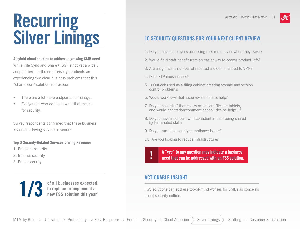### <span id="page-13-0"></span>Recurring Silver Linings

**A hybrid cloud solution to address a growing SMB need.**  While File Sync and Share (FSS) is not yet a widely adopted term in the enterprise, your clients are experiencing two clear business problems that this "chameleon" solution addresses:

- There are a lot more endpoints to manage.
- Everyone is worried about what that means for security.

Survey respondents confirmed that these business issues are driving services revenue:

#### **Top 3 Security-Related Services Driving Revenue:**

- 1. Endpoint security
- 2. Internet security
- 3. Email security

**of all businesses expected to replace or implement a new FSS solution this year4**



#### 10 SECURITY QUESTIONS FOR YOUR NEXT CLIENT REVIEW

- 1. Do you have employees accessing files remotely or when they travel?
- 2. Would field staff benefit from an easier way to access product info?
- 3. Are a significant number of reported incidents related to VPN?
- 4. Does FTP cause issues?
- 5. Is Outlook used as a filing cabinet creating storage and version control problems?
- 6. Would workflows that issue revision alerts help?
- 7. Do you have staff that review or present files on tablets, and would annotation/comment capabilities be helpful?
- 8. Do you have a concern with confidential data being shared by terminated staff?
- 9. Do you run into security compliance issues?
- 10. Are you looking to reduce infrastructure?

A "yes" to any question may indicate a business<br> need that can be addressed with an FSS solution.

#### ACTIONABLE INSIGHT

FSS solutions can address top-of-mind worries for SMBs as concerns new FSS solution this year<sup>4</sup> about security collide.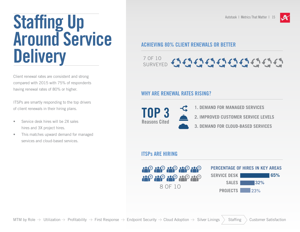### <span id="page-14-0"></span>**Staffing Up** Around Service **Delivery**

Client renewal rates are consistent and strong compared with 2015 with 75% of respondents having renewal rates of 80% or higher.

ITSPs are smartly responding to the top drivers of client renewals in their hiring plans.

- Service desk hires will be 2X sales hires and 3X project hires.
- This matches upward demand for managed services and cloud-based services.

#### ACHIEVING 80% CLIENT RENEWALS OR BETTER

#### 7 OF 1O **SURVEYED**

#### WHY ARE RENEWAL RATES RISING?



#### ITSPs ARE HIRING

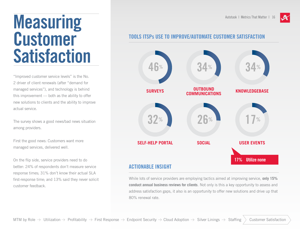

### <span id="page-15-0"></span>Measuring Customer **Satisfaction**

"Improved customer service levels" is the No. 2 driver of client renewals (after "demand for managed services"), and technology is behind this improvement — both as the ability to offer new solutions to clients and the ability to improve actual service.

The survey shows a good news/bad news situation among providers.

First the good news: Customers want more managed services, delivered well.

On the flip side, service providers need to do better: 24% of respondents don't measure service response times; 31% don't know their actual SLA first-response time; and 13% said they never solicit customer feedback.

#### TOOLS ITSPs USE TO IMPROVE/AUTOMATE CUSTOMER SATISFACTION



#### ACTIONABLE INSIGHT

While lots of service providers are employing tactics aimed at improving service, **only 15% conduct annual business reviews for clients**. Not only is this a key opportunity to assess and address satisfaction gaps, it also is an opportunity to offer new solutions and drive up that 80% renewal rate.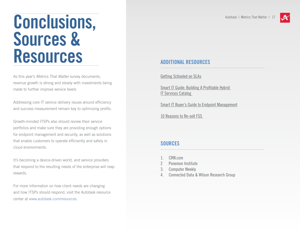

### <span id="page-16-0"></span>Conclusions, Sources & Resources

As this year's *Metrics That Matter* survey documents, revenue growth is strong and steady with investments being made to further improve service levels

Addressing core IT service delivery issues around efficiency and success measurement remain key to optimizing profits.

Growth-minded ITSPs also should review their service portfolios and make sure they are providing enough options for endpoint management and security, as well as solutions that enable customers to operate efficiently and safely in cloud environments.

It's becoming a device-driven world, and service providers that respond to the resulting needs of the enterprise will reap rewards.

For more information on how client needs are changing and how ITSPs should respond, visit the Autotask resource center at www.autotask.com/resources.

#### ADDITIONAL RESOURCES

[Getting Schooled on SLAs](http://www.autotask.com/resources/details/infographic-checklist/getting-schooled-on-sla-metrics)

[Smart IT Guide: Building A Profitable Hybrid](http://www.autotask.com/resources/details/ebook/smart-it-guide-hybrid-it-services-catalog)  **IT Services Catalog** 

[Smart IT Buyer's Guide to Endpoint Management](http://www.autotask.com/resources/details/ebook/smart-it-buyer-s-guide-to-autotask-endpoint-management)

[10 Reasons to Re-sell FSS](http://www.autotask.com/resources/details/ebook/10-reasons-to-resell-file-sync-and-share-fss-from-autotask) 

#### **SOURCES**

- 1. CRN.com
- 2 Ponemon Institute
- 3. Computer Weekly
- 4. Connected Data & Wilson Research Group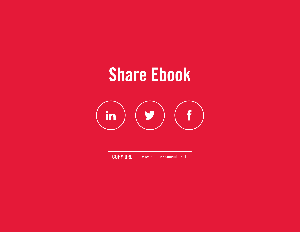### Share Ebook



| <b>COPY URL</b> | www.autotask.com/mtm2016 |
|-----------------|--------------------------|
|-----------------|--------------------------|